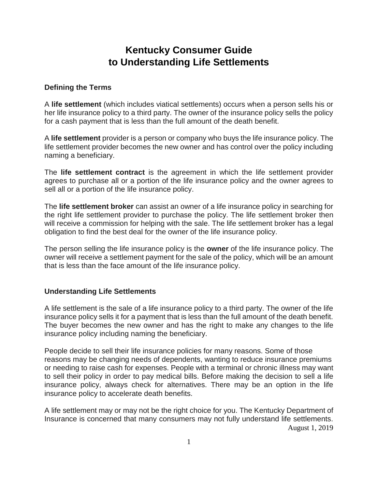# **Kentucky Consumer Guide to Understanding Life Settlements**

#### **Defining the Terms**

A **life settlement** (which includes viatical settlements) occurs when a person sells his or her life insurance policy to a third party. The owner of the insurance policy sells the policy for a cash payment that is less than the full amount of the death benefit.

A **life settlement** provider is a person or company who buys the life insurance policy. The life settlement provider becomes the new owner and has control over the policy including naming a beneficiary.

The **life settlement contract** is the agreement in which the life settlement provider agrees to purchase all or a portion of the life insurance policy and the owner agrees to sell all or a portion of the life insurance policy.

The **life settlement broker** can assist an owner of a life insurance policy in searching for the right life settlement provider to purchase the policy. The life settlement broker then will receive a commission for helping with the sale. The life settlement broker has a legal obligation to find the best deal for the owner of the life insurance policy.

The person selling the life insurance policy is the **owner** of the life insurance policy. The owner will receive a settlement payment for the sale of the policy, which will be an amount that is less than the face amount of the life insurance policy.

#### **Understanding Life Settlements**

A life settlement is the sale of a life insurance policy to a third party. The owner of the life insurance policy sells it for a payment that is less than the full amount of the death benefit. The buyer becomes the new owner and has the right to make any changes to the life insurance policy including naming the beneficiary.

People decide to sell their life insurance policies for many reasons. Some of those reasons may be changing needs of dependents, wanting to reduce insurance premiums or needing to raise cash for expenses. People with a terminal or chronic illness may want to sell their policy in order to pay medical bills. Before making the decision to sell a life insurance policy, always check for alternatives. There may be an option in the life insurance policy to accelerate death benefits.

August 1, 2019 A life settlement may or may not be the right choice for you. The Kentucky Department of Insurance is concerned that many consumers may not fully understand life settlements.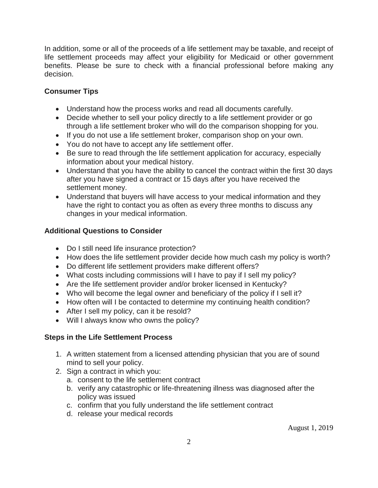In addition, some or all of the proceeds of a life settlement may be taxable, and receipt of life settlement proceeds may affect your eligibility for Medicaid or other government benefits. Please be sure to check with a financial professional before making any decision.

## **Consumer Tips**

- Understand how the process works and read all documents carefully.
- Decide whether to sell your policy directly to a life settlement provider or go through a life settlement broker who will do the comparison shopping for you.
- If you do not use a life settlement broker, comparison shop on your own.
- You do not have to accept any life settlement offer.
- Be sure to read through the life settlement application for accuracy, especially information about your medical history.
- Understand that you have the ability to cancel the contract within the first 30 days after you have signed a contract or 15 days after you have received the settlement money.
- Understand that buyers will have access to your medical information and they have the right to contact you as often as every three months to discuss any changes in your medical information.

## **Additional Questions to Consider**

- Do I still need life insurance protection?
- How does the life settlement provider decide how much cash my policy is worth?
- Do different life settlement providers make different offers?
- What costs including commissions will I have to pay if I sell my policy?
- Are the life settlement provider and/or broker licensed in Kentucky?
- Who will become the legal owner and beneficiary of the policy if I sell it?
- How often will I be contacted to determine my continuing health condition?
- After I sell my policy, can it be resold?
- Will I always know who owns the policy?

# **Steps in the Life Settlement Process**

- 1. A written statement from a licensed attending physician that you are of sound mind to sell your policy.
- 2. Sign a contract in which you:
	- a. consent to the life settlement contract
	- b. verify any catastrophic or life-threatening illness was diagnosed after the policy was issued
	- c. confirm that you fully understand the life settlement contract
	- d. release your medical records